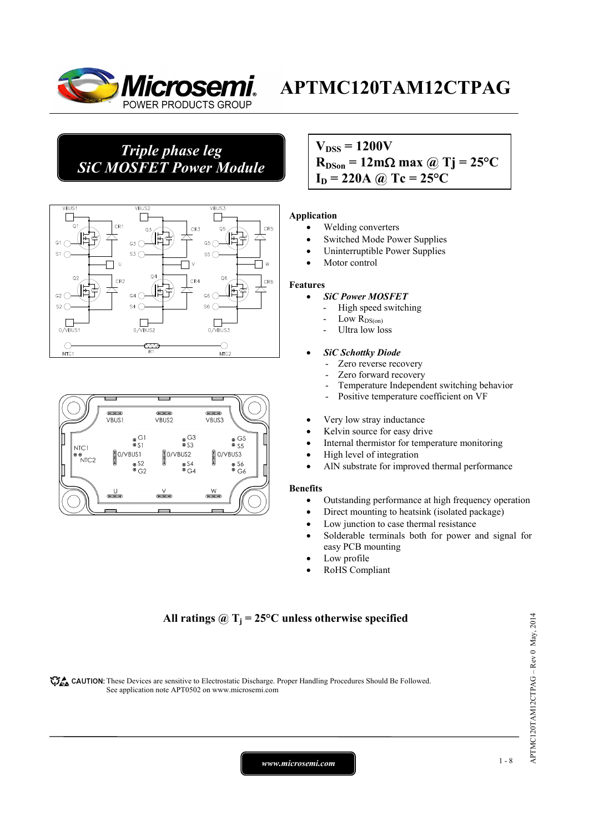

## *Triple phase leg SiC MOSFET Power Module*





## $V_{\text{DSS}} = 1200V$  $R_{DSon} = 12 \text{m}\Omega \text{ max}$  @ Tj = 25<sup>o</sup>C  $I_D = 220A \omega Tc = 25^{\circ}C$

#### **Application**

- Welding converters
- Switched Mode Power Supplies
- Uninterruptible Power Supplies
- Motor control

#### **Features**

- *SiC Power MOSFET*
	- High speed switching
	- Low  $R_{DS(on)}$
	- Ultra low loss

#### • *SiC Schottky Diode*

- Zero reverse recovery
- Zero forward recovery
- Temperature Independent switching behavior
- Positive temperature coefficient on VF
- Very low stray inductance
- Kelvin source for easy drive
- Internal thermistor for temperature monitoring
- High level of integration
- AlN substrate for improved thermal performance

#### **Benefits**

- Outstanding performance at high frequency operation
- Direct mounting to heatsink (isolated package)
- Low junction to case thermal resistance
- Solderable terminals both for power and signal for easy PCB mounting
- Low profile
- RoHS Compliant

### All ratings  $\omega_{\text{I}} = 25^{\circ}\text{C}$  unless otherwise specified

CAUTION: These Devices are sensitive to Electrostatic Discharge. Proper Handling Procedures Should Be Followed. See application note APT0502 on www.microsemi.com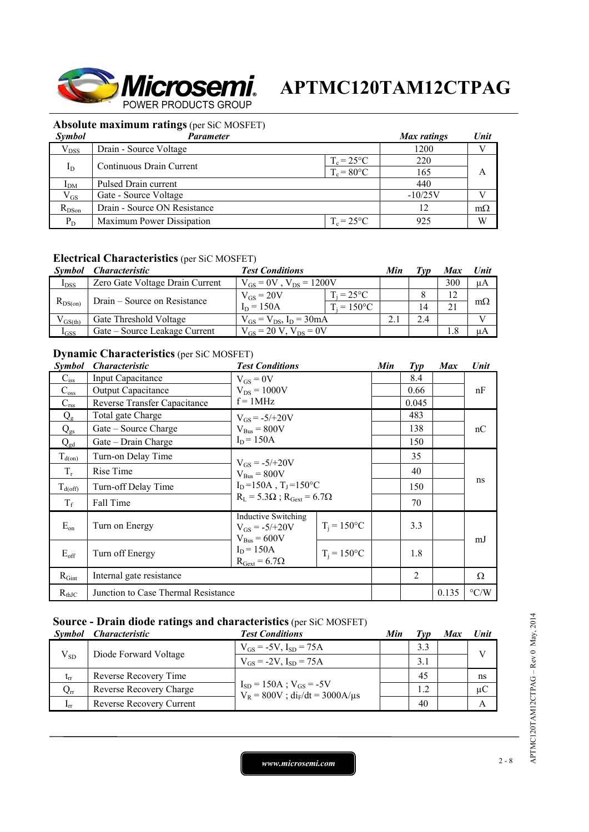

### **Absolute maximum ratings** (per SiC MOSFET)

| <b>Symbol</b>   | Parameter                    |                      | Max ratings | Unit      |
|-----------------|------------------------------|----------------------|-------------|-----------|
| $V_{DSS}$       | Drain - Source Voltage       |                      | 1200        |           |
|                 | Continuous Drain Current     | $T_c = 25^{\circ}C$  | 220         |           |
| $I_D$           |                              | $T_c = 80^{\circ}$ C | 165         | A         |
| I <sub>DM</sub> | Pulsed Drain current         |                      | 440         |           |
| $V_{GS}$        | Gate - Source Voltage        |                      | $-10/25V$   |           |
| $R_{DSon}$      | Drain - Source ON Resistance |                      | 12          | $m\Omega$ |
| $P_D$           | Maximum Power Dissipation    | $T_c = 25^{\circ}C$  | 925         | W         |

### **Electrical Characteristics** (per SiC MOSFET)

| <i>Symbol</i> | <i><b>Characteristic</b></i>    | <b>Test Conditions</b>           |                     | Min | 'vn | Max | Unit      |
|---------------|---------------------------------|----------------------------------|---------------------|-----|-----|-----|-----------|
| $I_{DSS}$     | Zero Gate Voltage Drain Current | $V_{GS} = 0V$ , $V_{DS} = 1200V$ |                     |     | 300 | μA  |           |
| $R_{DS(on)}$  | Drain – Source on Resistance    | $V_{GS} = 20V$                   | $T_i = 25^{\circ}C$ |     |     |     |           |
|               |                                 | $I_D = 150A$                     | $T_i = 150$ °C      |     | 14  |     | $m\Omega$ |
| $V_{GS(th)}$  | Gate Threshold Voltage          | $V_{GS} = V_{DS}$ , $I_D = 30mA$ |                     |     | 2.4 |     |           |
| $I_{GSS}$     | Gate – Source Leakage Current   | $V_{gs} = 20 V$ , $V_{ps} = 0V$  |                     |     |     | .8  | uА        |

### **Dynamic Characteristics** (per SiC MOSFET)

| <i>Symbol</i>       | <i><b>Characteristic</b></i>        | <b>Test Conditions</b>                                                                                                             |                | Min | $\mathcal{I}yp$ | <b>Max</b> | Unit               |
|---------------------|-------------------------------------|------------------------------------------------------------------------------------------------------------------------------------|----------------|-----|-----------------|------------|--------------------|
| $C_{iss}$           | <b>Input Capacitance</b>            | $V_{GS} = 0V$                                                                                                                      |                |     | 8.4             |            |                    |
| $C_{\rm oss}$       | <b>Output Capacitance</b>           | $V_{DS} = 1000V$                                                                                                                   |                |     | 0.66            |            | nF                 |
| $C_{\text{rss}}$    | Reverse Transfer Capacitance        | $f = 1MHz$                                                                                                                         |                |     | 0.045           |            |                    |
| $Q_{\rm g}$         | Total gate Charge                   | $V_{GS} = -5/+20V$                                                                                                                 |                |     | 483             |            | nC                 |
| $Q_{gs}$            | Gate – Source Charge                | $V_{Bus} = 800V$                                                                                                                   |                |     | 138             |            |                    |
| $Q_{gd}$            | Gate – Drain Charge                 | $I_D = 150A$                                                                                                                       |                |     | 150             |            |                    |
| $T_{d(on)}$         | Turn-on Delay Time                  | $V_{GS} = -5/+20V$<br>$V_{Bus} = 800V$<br>$I_D = 150A$ , $T_J = 150^{\circ}C$<br>$R_L = 5.3\Omega$ ; $R_{\text{Gext}} = 6.7\Omega$ |                |     | 35              |            |                    |
| $T_r$               | Rise Time                           |                                                                                                                                    |                |     | 40              |            | ns                 |
| $T_{d(\text{off})}$ | Turn-off Delay Time                 |                                                                                                                                    |                |     | 150             |            |                    |
| $T_f$               | Fall Time                           |                                                                                                                                    |                |     | 70              |            |                    |
| $E_{on}$            | Turn on Energy                      | <b>Inductive Switching</b><br>$V_{GS} = -5/+20V$<br>$V_{\text{Bus}} = 600V$                                                        | $T_i = 150$ °C |     | 3.3             |            | mJ                 |
| $E_{\rm off}$       | Turn off Energy                     | $I_D = 150A$<br>$R_{\text{Gext}} = 6.7\Omega$                                                                                      | $T_i = 150$ °C |     | 1.8             |            |                    |
| $R_{Gint}$          | Internal gate resistance            |                                                                                                                                    |                |     | $\overline{2}$  |            | Ω                  |
| $R_{thJC}$          | Junction to Case Thermal Resistance |                                                                                                                                    |                |     |                 | 0.135      | $\rm ^{\circ} C/W$ |

### **Source - Drain diode ratings and characteristics** (per SiC MOSFET)

|                 | Symbol Characteristic    | <b>Test Conditions</b>                                                     | Min | Tvp | Max | <b>Unit</b>  |
|-----------------|--------------------------|----------------------------------------------------------------------------|-----|-----|-----|--------------|
| $V_{SD}$        | Diode Forward Voltage    | $V_{GS} = -5V$ , $I_{SD} = 75A$                                            |     | 3.3 |     | $\mathbf{V}$ |
|                 |                          | $V_{GS} = -2V$ , $I_{SD} = 75A$                                            |     | 3.1 |     |              |
| $t_{rr}$        | Reverse Recovery Time    | $I_{SD} = 150A$ ; $V_{GS} = -5V$<br>$V_R = 800V$ ; $di_F/dt = 3000A/\mu s$ |     | 45  |     | ns           |
| $Q_{rr}$        | Reverse Recovery Charge  |                                                                            |     | 1.2 |     | $\mu C$      |
| 1 <sub>rr</sub> | Reverse Recovery Current |                                                                            |     | 40  |     |              |

APTMC120TAM12CTPAG-Rev 0 May, 2014 APTMC120TAM12CTPAG – Rev 0 May, 2014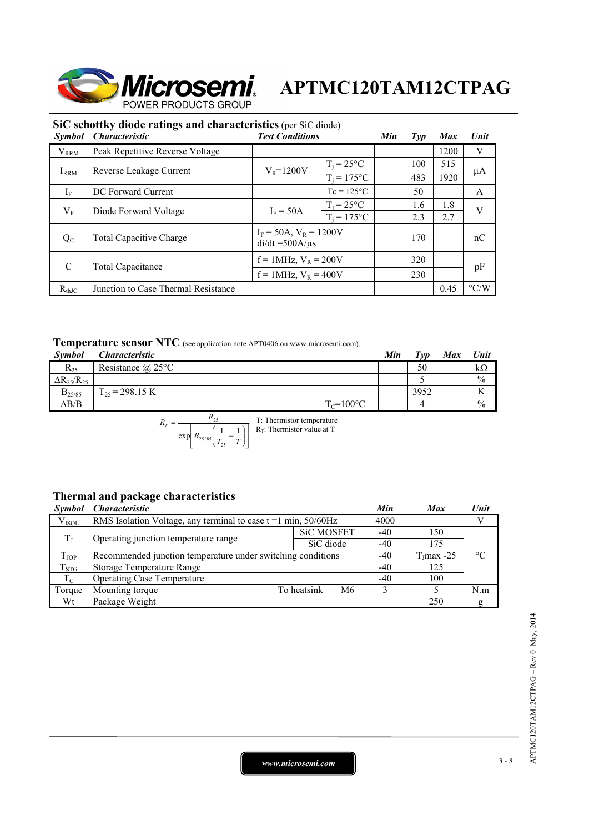

|               | SiC schottky diode ratings and characteristics (per SiC diode) |                                                        |                     |     |                |            |                    |
|---------------|----------------------------------------------------------------|--------------------------------------------------------|---------------------|-----|----------------|------------|--------------------|
| Symbol        | <b>Characteristic</b>                                          | <b>Test Conditions</b>                                 |                     |     | $\mathit{Typ}$ | <b>Max</b> | Unit               |
| $V_{RRM}$     | Peak Repetitive Reverse Voltage                                |                                                        |                     |     |                | 1200       | V                  |
|               |                                                                |                                                        | $T_i = 25$ °C       |     | 100            | 515        |                    |
| $I_{RRM}$     | $V_R = 1200V$<br>Reverse Leakage Current                       | $T_i = 175$ °C                                         |                     | 483 | 1920           | μA         |                    |
| $I_F$         | DC Forward Current                                             |                                                        | $Tc = 125^{\circ}C$ |     | 50             |            | A                  |
|               | Diode Forward Voltage                                          | $I_F = 50A$                                            | $T_i = 25^{\circ}C$ |     | 1.6            | 1.8        | V                  |
| $V_{\rm F}$   |                                                                |                                                        | $T_i = 175$ °C      |     | 2.3            | 2.7        |                    |
| $Q_{C}$       | <b>Total Capacitive Charge</b>                                 | $I_F = 50A$ , $V_R = 1200V$<br>$di/dt = 500A/\mu s$    |                     |     | 170            |            | nC                 |
| $\mathcal{C}$ |                                                                | $f = 1$ MHz, $V_R = 200V$<br>$f = 1$ MHz, $V_R = 400V$ |                     |     | 320            |            |                    |
|               | Total Capacitance                                              |                                                        |                     |     | 230            |            | pF                 |
| $R_{th,IC}$   | Junction to Case Thermal Resistance                            |                                                        |                     |     |                | 0.45       | $\rm ^{\circ}$ C/W |
|               |                                                                |                                                        |                     |     |                |            |                    |

## **Temperature sensor NTC** (see application note APT0406 on www.microsemi.com).

| Symbol                 | <i>Characteristic</i>    |                | Min | $T_{VD}$ | Max | Unit          |
|------------------------|--------------------------|----------------|-----|----------|-----|---------------|
| $R_{25}$               | Resistance $(a)$ 25°C    |                |     | 50       |     | $k\Omega$     |
| $\Delta R_{25}/R_{25}$ |                          |                |     |          |     | $\frac{0}{0}$ |
| $B_{25/85}$            | $\Gamma_{25}$ = 298.15 K |                |     | 3952     |     |               |
| $\Delta B/B$           |                          | $T_c = 100$ °C |     |          |     | $\frac{0}{0}$ |

$$
R_T = \frac{R_{25}}{\exp\left[B_{25/85}\left(\frac{1}{T_{25}} - \frac{1}{T}\right)\right]}
$$
 T: Thermistor temperature

## **Thermal and package characteristics**

| <i>Symbol</i> | <i><b>Characteristic</b></i>                                        |             |                   | Min   | <b>Max</b>    | Unit            |
|---------------|---------------------------------------------------------------------|-------------|-------------------|-------|---------------|-----------------|
| $V_{ISOL}$    | RMS Isolation Voltage, any terminal to case $t = 1$ min, $50/60$ Hz |             |                   |       |               | V               |
| $T_{\rm J}$   | Operating junction temperature range                                |             | <b>SiC MOSFET</b> | $-40$ | 150           |                 |
|               |                                                                     |             | SiC diode         | $-40$ | 175           |                 |
| $T_{JOP}$     | Recommended junction temperature under switching conditions         |             |                   |       | $T_1$ max -25 | $\rm ^{\circ}C$ |
| $T_{STG}$     | <b>Storage Temperature Range</b>                                    |             |                   |       | 125           |                 |
| $T_C$         | <b>Operating Case Temperature</b>                                   | $-40$       | 100               |       |               |                 |
| Torque        | Mounting torque                                                     | To heatsink | M6                |       |               | N.m             |
| Wt            | Package Weight                                                      |             |                   |       | 250           | g               |

*www.microsemi.com* 3-8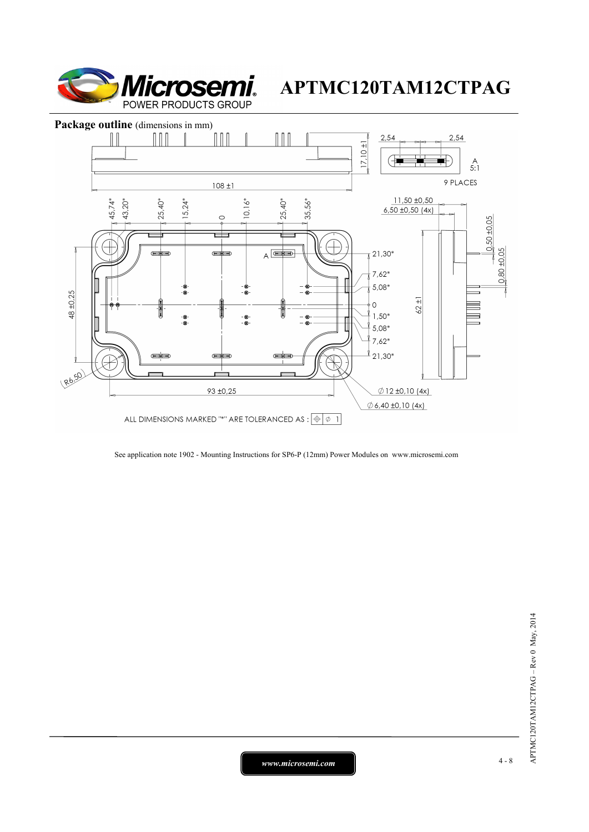



See application note 1902 - Mounting Instructions for SP6-P (12mm) Power Modules on www.microsemi.com

*www.microsemi.com* 4-8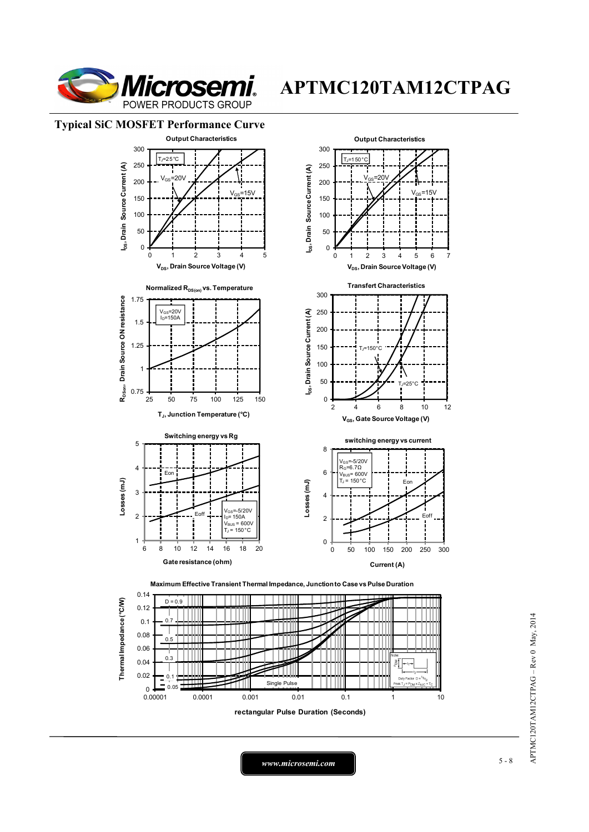

 $15V$ 

#### **Typical SiC MOSFET Performance Curve**



0.14 Thermal Impedance (°C/W)  $D = 0.9$ **Thermal Impedance (°C/W)** 0.12 0.1 0.7 TIII Ш J. 0.08 חחר 0.5 0.06  $\cap$ 0.04 0.02 0.1 Ш 0.05 Single Pulse eak  $T_J = P_{DM} \times Z_{\theta}$  $_{0.00001}^{0}$ 0.00001 0.0001 0.001 0.01 0.1 1 10 **rectangular Pulse Duration (Seconds)**

Eon

 $=25$ 

**E**off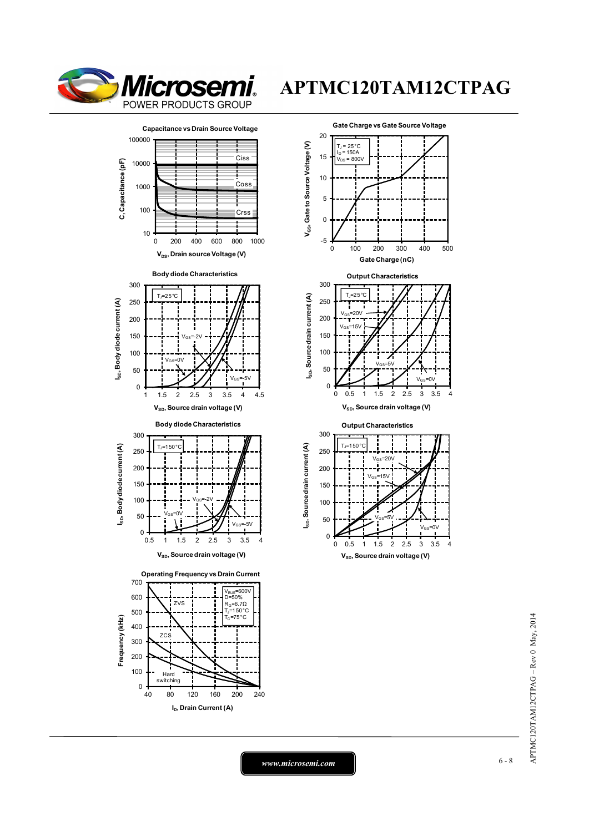





0 0.5 1 1.5 2 2.5 3 3.5 4

0

 $V_{SD}$ , Source drain voltage (V)

*www.microsemi.com* 6-8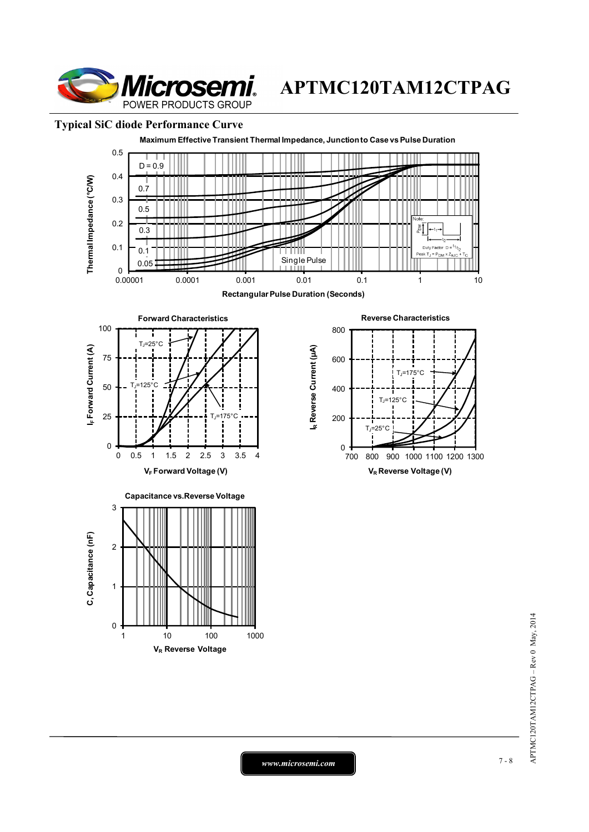

### **Typical SiC diode Performance Curve**



APTMC120TAM12CTPAG-Rev 0 May, 2014 APTMC120TAM12CTPAG – Rev 0 May, 2014

*www.microsemi.com* 7-8